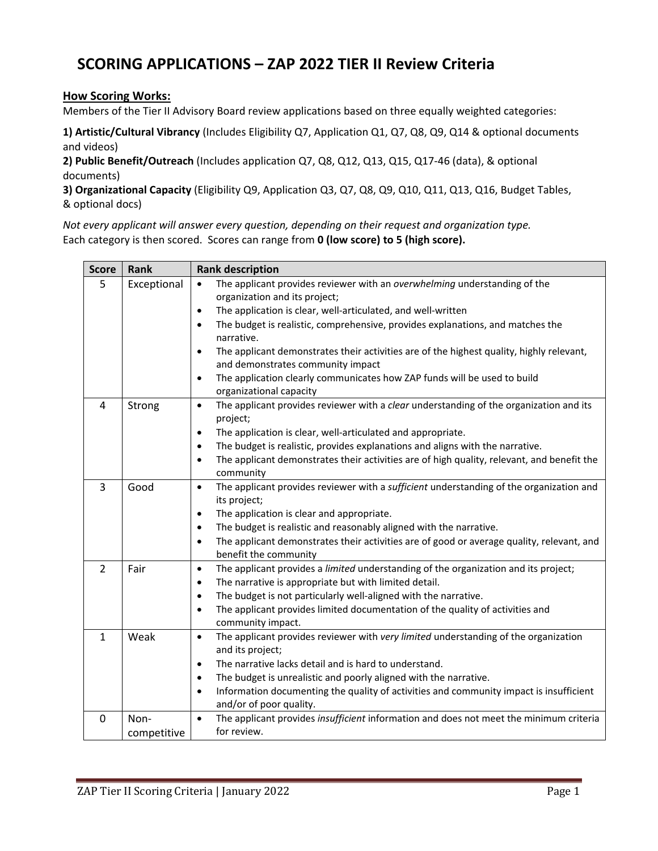# **SCORING APPLICATIONS – ZAP 2022 TIER II Review Criteria**

### **How Scoring Works:**

Members of the Tier II Advisory Board review applications based on three equally weighted categories:

**1) Artistic/Cultural Vibrancy** (Includes Eligibility Q7, Application Q1, Q7, Q8, Q9, Q14 & optional documents and videos)

**2) Public Benefit/Outreach** (Includes application Q7, Q8, Q12, Q13, Q15, Q17‐46 (data), & optional documents)

**3) Organizational Capacity** (Eligibility Q9, Application Q3, Q7, Q8, Q9, Q10, Q11, Q13, Q16, Budget Tables, & optional docs)

*Not every applicant will answer every question, depending on their request and organization type.* Each category is then scored. Scores can range from **0 (low score) to 5 (high score).**

| <b>Score</b>   | Rank        | <b>Rank description</b>                                                                                                         |  |  |  |  |  |
|----------------|-------------|---------------------------------------------------------------------------------------------------------------------------------|--|--|--|--|--|
| 5              | Exceptional | The applicant provides reviewer with an overwhelming understanding of the<br>$\bullet$                                          |  |  |  |  |  |
|                |             | organization and its project;                                                                                                   |  |  |  |  |  |
|                |             | The application is clear, well-articulated, and well-written<br>$\bullet$                                                       |  |  |  |  |  |
|                |             | The budget is realistic, comprehensive, provides explanations, and matches the<br>narrative.                                    |  |  |  |  |  |
|                |             | The applicant demonstrates their activities are of the highest quality, highly relevant,<br>and demonstrates community impact   |  |  |  |  |  |
|                |             | The application clearly communicates how ZAP funds will be used to build<br>٠                                                   |  |  |  |  |  |
|                |             | organizational capacity                                                                                                         |  |  |  |  |  |
| 4              | Strong      | The applicant provides reviewer with a clear understanding of the organization and its<br>$\bullet$<br>project;                 |  |  |  |  |  |
|                |             | The application is clear, well-articulated and appropriate.<br>$\bullet$                                                        |  |  |  |  |  |
|                |             | The budget is realistic, provides explanations and aligns with the narrative.                                                   |  |  |  |  |  |
|                |             | The applicant demonstrates their activities are of high quality, relevant, and benefit the                                      |  |  |  |  |  |
|                |             | community                                                                                                                       |  |  |  |  |  |
| 3              | Good        | The applicant provides reviewer with a sufficient understanding of the organization and<br>$\bullet$                            |  |  |  |  |  |
|                |             | its project;                                                                                                                    |  |  |  |  |  |
|                |             | The application is clear and appropriate.<br>$\bullet$                                                                          |  |  |  |  |  |
|                |             | The budget is realistic and reasonably aligned with the narrative.                                                              |  |  |  |  |  |
|                |             | The applicant demonstrates their activities are of good or average quality, relevant, and<br>$\bullet$<br>benefit the community |  |  |  |  |  |
| $\overline{2}$ | Fair        | The applicant provides a limited understanding of the organization and its project;<br>$\bullet$                                |  |  |  |  |  |
|                |             | The narrative is appropriate but with limited detail.<br>٠                                                                      |  |  |  |  |  |
|                |             | The budget is not particularly well-aligned with the narrative.<br>$\bullet$                                                    |  |  |  |  |  |
|                |             | The applicant provides limited documentation of the quality of activities and                                                   |  |  |  |  |  |
|                |             | community impact.                                                                                                               |  |  |  |  |  |
| $\mathbf{1}$   | Weak        | The applicant provides reviewer with very limited understanding of the organization<br>$\bullet$                                |  |  |  |  |  |
|                |             | and its project;                                                                                                                |  |  |  |  |  |
|                |             | The narrative lacks detail and is hard to understand.                                                                           |  |  |  |  |  |
|                |             | The budget is unrealistic and poorly aligned with the narrative.                                                                |  |  |  |  |  |
|                |             | Information documenting the quality of activities and community impact is insufficient                                          |  |  |  |  |  |
|                |             | and/or of poor quality.                                                                                                         |  |  |  |  |  |
| 0              | Non-        | The applicant provides insufficient information and does not meet the minimum criteria<br>$\bullet$                             |  |  |  |  |  |
|                | competitive | for review.                                                                                                                     |  |  |  |  |  |